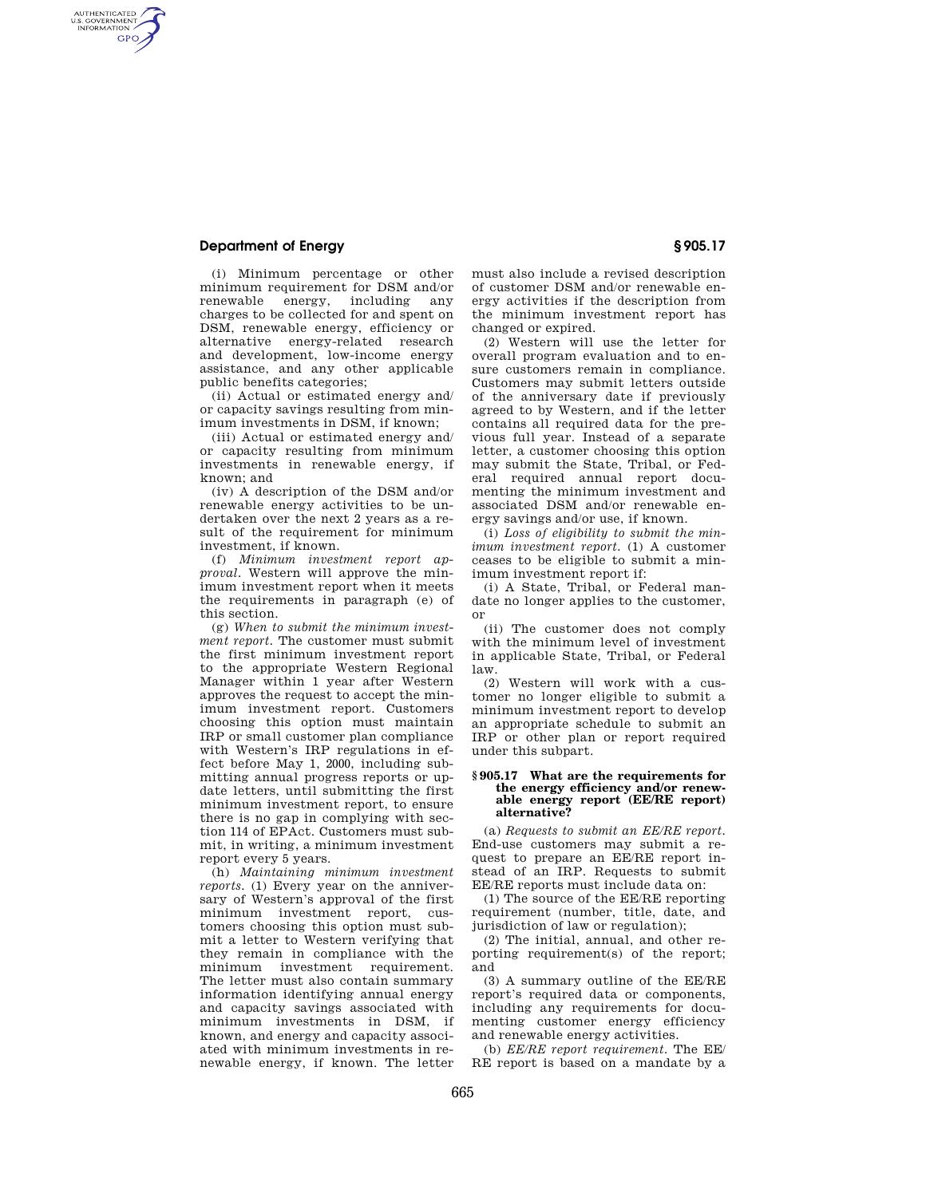### **Department of Energy § 905.17**

AUTHENTICATED<br>U.S. GOVERNMENT<br>INFORMATION **GPO** 

> (i) Minimum percentage or other minimum requirement for DSM and/or renewable energy, including any charges to be collected for and spent on DSM, renewable energy, efficiency or alternative energy-related research and development, low-income energy assistance, and any other applicable public benefits categories;

(ii) Actual or estimated energy and/ or capacity savings resulting from minimum investments in DSM, if known;

(iii) Actual or estimated energy and/ or capacity resulting from minimum investments in renewable energy, if known; and

(iv) A description of the DSM and/or renewable energy activities to be undertaken over the next 2 years as a result of the requirement for minimum investment, if known.

(f) *Minimum investment report approval.* Western will approve the minimum investment report when it meets the requirements in paragraph (e) of this section.

(g) *When to submit the minimum investment report.* The customer must submit the first minimum investment report to the appropriate Western Regional Manager within 1 year after Western approves the request to accept the minimum investment report. Customers choosing this option must maintain IRP or small customer plan compliance with Western's IRP regulations in effect before May 1, 2000, including submitting annual progress reports or update letters, until submitting the first minimum investment report, to ensure there is no gap in complying with section 114 of EPAct. Customers must submit, in writing, a minimum investment report every 5 years.

(h) *Maintaining minimum investment reports.* (1) Every year on the anniversary of Western's approval of the first minimum investment report, customers choosing this option must submit a letter to Western verifying that they remain in compliance with the minimum investment requirement. The letter must also contain summary information identifying annual energy and capacity savings associated with minimum investments in DSM, if known, and energy and capacity associated with minimum investments in renewable energy, if known. The letter

must also include a revised description of customer DSM and/or renewable energy activities if the description from the minimum investment report has changed or expired.

(2) Western will use the letter for overall program evaluation and to ensure customers remain in compliance. Customers may submit letters outside of the anniversary date if previously agreed to by Western, and if the letter contains all required data for the previous full year. Instead of a separate letter, a customer choosing this option may submit the State, Tribal, or Federal required annual report documenting the minimum investment and associated DSM and/or renewable energy savings and/or use, if known.

(i) *Loss of eligibility to submit the minimum investment report.* (1) A customer ceases to be eligible to submit a minimum investment report if:

(i) A State, Tribal, or Federal mandate no longer applies to the customer, or

(ii) The customer does not comply with the minimum level of investment in applicable State, Tribal, or Federal law.

(2) Western will work with a customer no longer eligible to submit a minimum investment report to develop an appropriate schedule to submit an IRP or other plan or report required under this subpart.

### **§ 905.17 What are the requirements for the energy efficiency and/or renewable energy report (EE/RE report) alternative?**

(a) *Requests to submit an EE/RE report.*  End-use customers may submit a request to prepare an EE/RE report instead of an IRP. Requests to submit EE/RE reports must include data on:

(1) The source of the EE/RE reporting requirement (number, title, date, and jurisdiction of law or regulation):

(2) The initial, annual, and other reporting requirement(s) of the report; and

(3) A summary outline of the EE/RE report's required data or components, including any requirements for documenting customer energy efficiency and renewable energy activities.

(b) *EE/RE report requirement.* The EE/ RE report is based on a mandate by a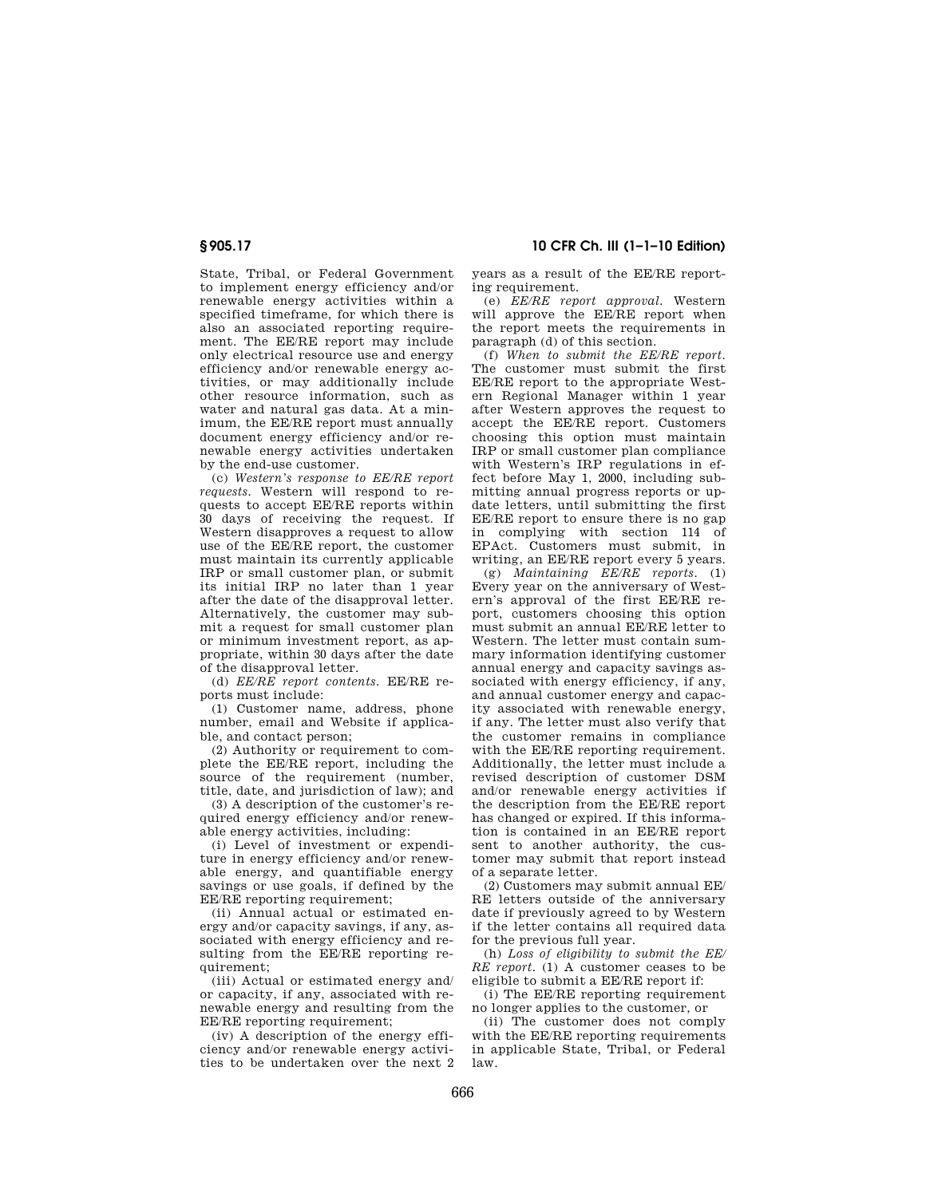# **§ 905.17 10 CFR Ch. III (1–1–10 Edition)**

State, Tribal, or Federal Government to implement energy efficiency and/or renewable energy activities within a specified timeframe, for which there is also an associated reporting requirement. The EE/RE report may include only electrical resource use and energy efficiency and/or renewable energy activities, or may additionally include other resource information, such as water and natural gas data. At a minimum, the EE/RE report must annually document energy efficiency and/or renewable energy activities undertaken by the end-use customer.

(c) *Western's response to EE/RE report requests.* Western will respond to requests to accept EE/RE reports within 30 days of receiving the request. If Western disapproves a request to allow use of the EE/RE report, the customer must maintain its currently applicable IRP or small customer plan, or submit its initial IRP no later than 1 year after the date of the disapproval letter. Alternatively, the customer may submit a request for small customer plan or minimum investment report, as appropriate, within 30 days after the date of the disapproval letter.

(d) *EE/RE report contents.* EE/RE reports must include:

(1) Customer name, address, phone number, email and Website if applicable, and contact person;

(2) Authority or requirement to complete the EE/RE report, including the source of the requirement (number, title, date, and jurisdiction of law); and

(3) A description of the customer's required energy efficiency and/or renewable energy activities, including:

(i) Level of investment or expenditure in energy efficiency and/or renewable energy, and quantifiable energy savings or use goals, if defined by the EE/RE reporting requirement;

(ii) Annual actual or estimated energy and/or capacity savings, if any, associated with energy efficiency and resulting from the EE/RE reporting requirement;

(iii) Actual or estimated energy and/ or capacity, if any, associated with renewable energy and resulting from the EE/RE reporting requirement;

(iv) A description of the energy efficiency and/or renewable energy activities to be undertaken over the next 2 years as a result of the EE/RE reporting requirement.

(e) *EE/RE report approval.* Western will approve the EE/RE report when the report meets the requirements in paragraph (d) of this section.

(f) *When to submit the EE/RE report.*  The customer must submit the first EE/RE report to the appropriate Western Regional Manager within 1 year after Western approves the request to accept the EE/RE report. Customers choosing this option must maintain IRP or small customer plan compliance with Western's IRP regulations in effect before May 1, 2000, including submitting annual progress reports or update letters, until submitting the first EE/RE report to ensure there is no gap in complying with section 114 of EPAct. Customers must submit, in writing, an EE/RE report every 5 years.

(g) *Maintaining EE/RE reports.* (1) Every year on the anniversary of Western's approval of the first EE/RE report, customers choosing this option must submit an annual EE/RE letter to Western. The letter must contain summary information identifying customer annual energy and capacity savings associated with energy efficiency, if any, and annual customer energy and capacity associated with renewable energy, if any. The letter must also verify that the customer remains in compliance with the EE/RE reporting requirement. Additionally, the letter must include a revised description of customer DSM and/or renewable energy activities if the description from the EE/RE report has changed or expired. If this information is contained in an EE/RE report sent to another authority, the customer may submit that report instead of a separate letter.

(2) Customers may submit annual EE/ RE letters outside of the anniversary date if previously agreed to by Western if the letter contains all required data for the previous full year.

(h) *Loss of eligibility to submit the EE/ RE report.* (1) A customer ceases to be eligible to submit a EE/RE report if:

(i) The EE/RE reporting requirement no longer applies to the customer, or

(ii) The customer does not comply with the EE/RE reporting requirements in applicable State, Tribal, or Federal law.